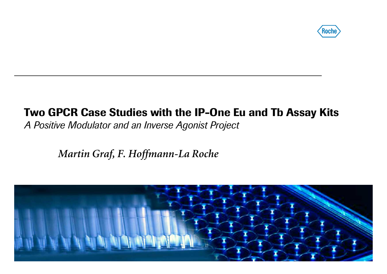

#### Two GPCR Case Studies with the IP-One Eu and Tb Assay Kits A Positive Modulator and an Inverse Agonist Project

Martin Graf, F. Hoffmann-La Roche

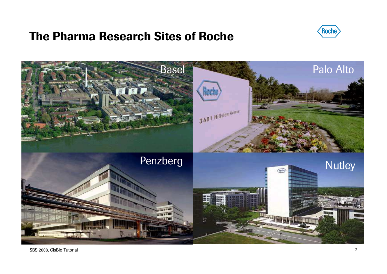#### The Pharma Research Sites of Roche



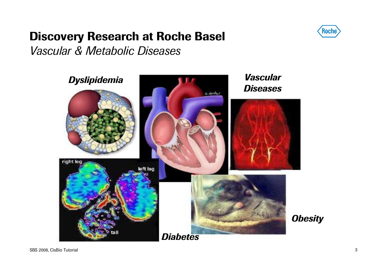# Discovery Research at Roche Basel



Vascular & Metabolic Diseases

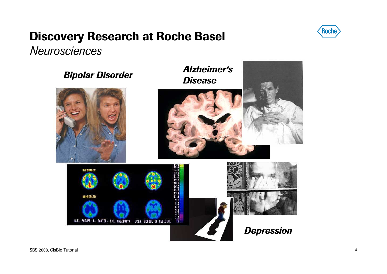# Discovery Research at Roche Basel



**Neurosciences** 

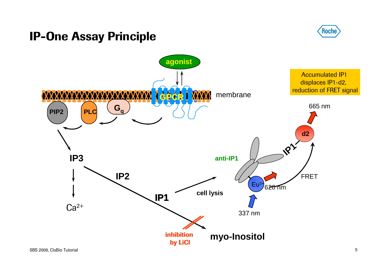#### IP-One Assay Principle



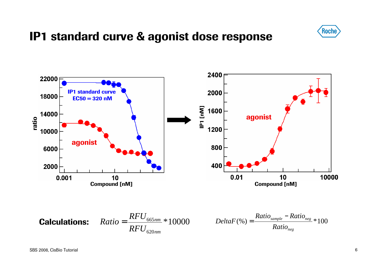

#### IP1 standard curve & agonist dose response



 $620nm$ 

*nm*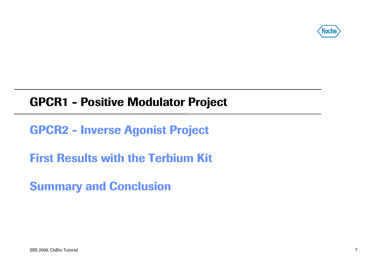

#### GPCR1 - Positive Modulator Project

GPCR2 - Inverse Agonist Project

First Results with the Terbium Kit

Summary and Conclusion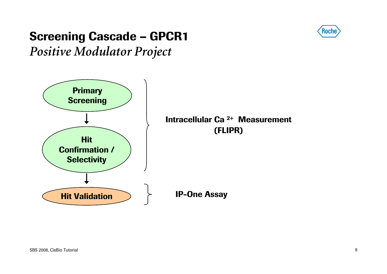

# Screening Cascade – GPCR1

Positive Modulator Project

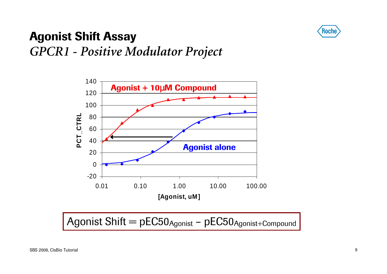

# Agonist Shift AssayGPCR1 - Positive Modulator Project



Agonist Shift = pEC50<sub>Agonist</sub> - pEC50<sub>Agonist+Compound</sub>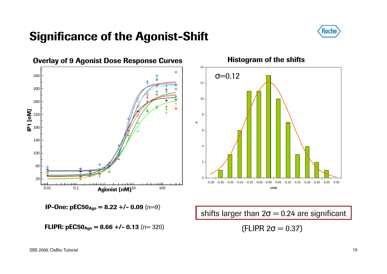#### Significance of the Agonist-Shift



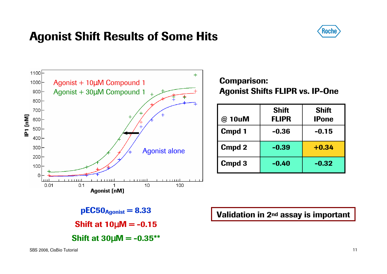### Agonist Shift Results of Some Hits





Comparison:Agonist Shifts FLIPR vs. IP-One

| @ 10uM        | <b>Shift</b><br><b>FLIPR</b> | <b>Shift</b><br><b>IPone</b> |
|---------------|------------------------------|------------------------------|
| Cmpd 1        | $-0.36$                      | $-0.15$                      |
| <b>Cmpd 2</b> | $-0.39$                      | $+0.34$                      |
| Cmpd 3        | $-0.40$                      | $-0.32$                      |



Validation in 2nd assay is important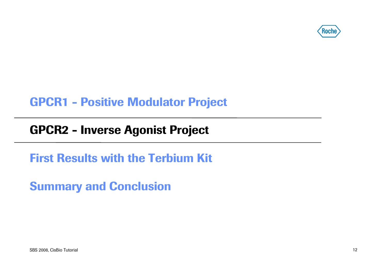

### GPCR1 - Positive Modulator Project

# GPCR2 - Inverse Agonist Project

First Results with the Terbium Kit

Summary and Conclusion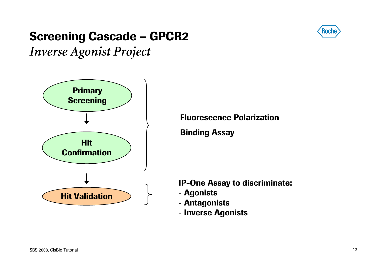# Screening Cascade – GPCR2



Inverse Agonist Project



Fluorescence Polarization

Binding Assay

IP-One Assay to discriminate:

- Agonists
- Antagonists
- Inverse Agonists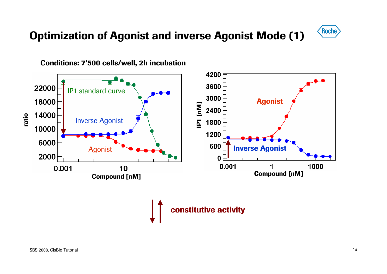#### Optimization of Agonist and inverse Agonist Mode (1)





Conditions: 7'500 cells/well, 2h incubation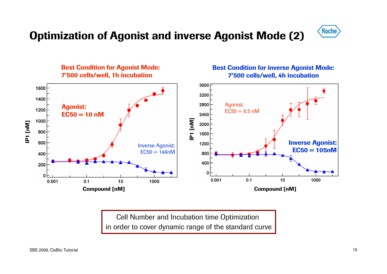#### Optimization of Agonist and inverse Agonist Mode (2)





Cell Number and Incubation time Optimization in order to cover dynamic range of the standard curve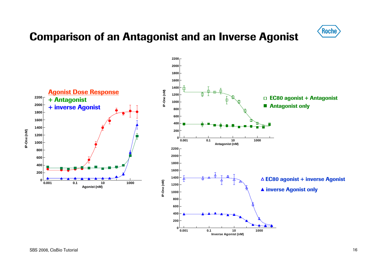#### Comparison of an Antagonist and an Inverse Agonist



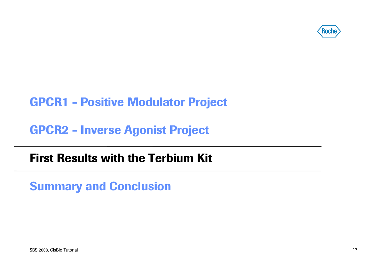

### GPCR1 - Positive Modulator Project

GPCR2 - Inverse Agonist Project

#### First Results with the Terbium Kit

Summary and Conclusion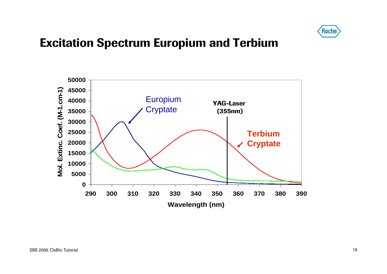

#### Excitation Spectrum Europium and Terbium

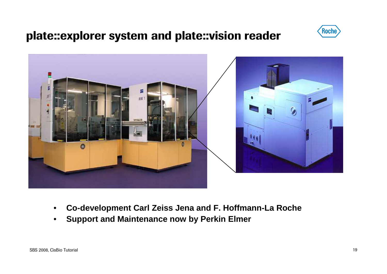### plate::explorer system and plate::vision reader





- $\bullet$ **Co-development Carl Zeiss Jena and F. Hoffmann-La Roche**
- $\bullet$ **Support and Maintenance now by Perkin Elmer**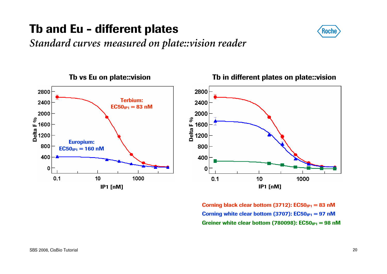# Tb and Eu - different plates



Standard curves measured on plate::vision reader



#### Tb vs Eu on plate::visionTb in different plates on plate::vision



 $\bf{Corning~black~clear~bottom~(3712): ECS0_{IP1}=83~nM}$ Corning white clear bottom (3707):  $\mathsf{EC50}_{\mathsf{IP1}} = 97 \text{ }\mathsf{nM}$ Greiner white clear bottom (780098):  $\mathsf{EC50_{IP1}} = 98$  nM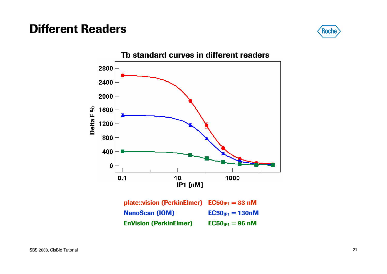#### Different Readers



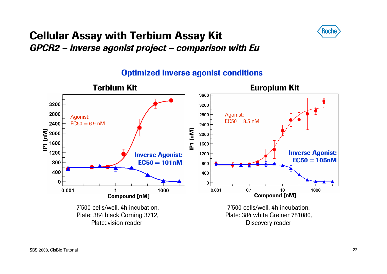

#### Cellular Assay with Terbium Assay Kit GPCR2 – inverse agonist project – comparison with Eu



#### Optimized inverse agonist conditions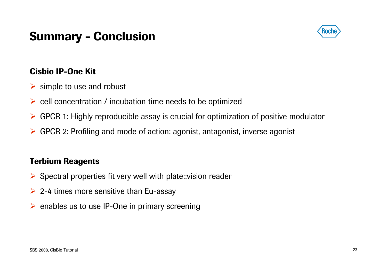### Summary - Conclusion



#### Cisbio IP-One Kit

- **▶** simple to use and robust
- $\triangleright$  cell concentration / incubation time needs to be optimized
- GPCR 1: Highly reproducible assay is crucial for optimization of positive modulator
- GPCR 2: Profiling and mode of action: agonist, antagonist, inverse agonist

#### Terbium Reagents

- Spectral properties fit very well with plate::vision reader
- $\triangleright$  2-4 times more sensitive than Eu-assay
- ▶ enables us to use IP-One in primary screening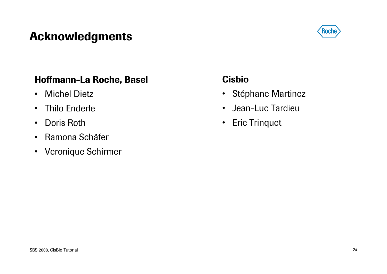# Acknowledgments



#### Hoffmann-La Roche, Basel

- Michel Dietz
- Thilo Enderle
- •Doris Roth
- Ramona Schäfer
- Veronique Schirmer

#### Cisbio

- Stéphane Martinez
- Jean-Luc Tardieu
- Eric Trinquet